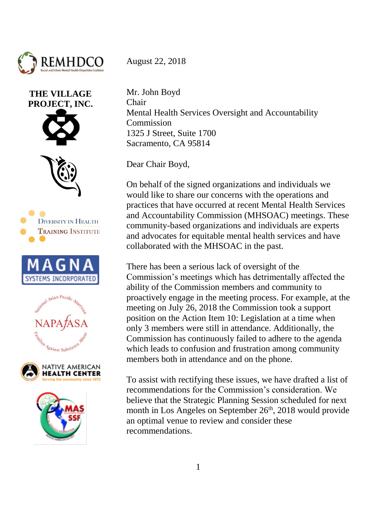

















August 22, 2018

Mr. John Boyd Chair Mental Health Services Oversight and Accountability **Commission** 1325 J Street, Suite 1700 Sacramento, CA 95814

Dear Chair Boyd,

On behalf of the signed organizations and individuals we would like to share our concerns with the operations and practices that have occurred at recent Mental Health Services and Accountability Commission (MHSOAC) meetings. These community-based organizations and individuals are experts and advocates for equitable mental health services and have collaborated with the MHSOAC in the past.

There has been a serious lack of oversight of the Commission's meetings which has detrimentally affected the ability of the Commission members and community to proactively engage in the meeting process. For example, at the meeting on July 26, 2018 the Commission took a support position on the Action Item 10: Legislation at a time when only 3 members were still in attendance. Additionally, the Commission has continuously failed to adhere to the agenda which leads to confusion and frustration among community members both in attendance and on the phone.

To assist with rectifying these issues, we have drafted a list of recommendations for the Commission's consideration. We believe that the Strategic Planning Session scheduled for next month in Los Angeles on September  $26<sup>th</sup>$ , 2018 would provide an optimal venue to review and consider these recommendations.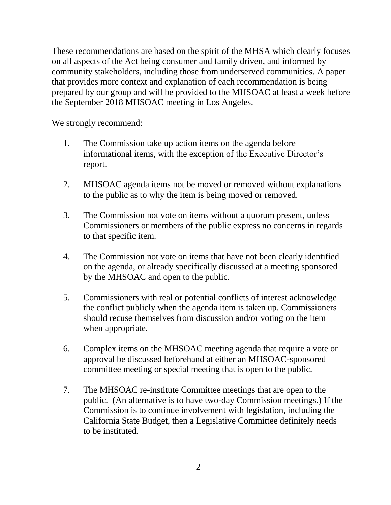These recommendations are based on the spirit of the MHSA which clearly focuses on all aspects of the Act being consumer and family driven, and informed by community stakeholders, including those from underserved communities. A paper that provides more context and explanation of each recommendation is being prepared by our group and will be provided to the MHSOAC at least a week before the September 2018 MHSOAC meeting in Los Angeles.

## We strongly recommend:

- 1. The Commission take up action items on the agenda before informational items, with the exception of the Executive Director's report.
- 2. MHSOAC agenda items not be moved or removed without explanations to the public as to why the item is being moved or removed.
- 3. The Commission not vote on items without a quorum present, unless Commissioners or members of the public express no concerns in regards to that specific item.
- 4. The Commission not vote on items that have not been clearly identified on the agenda, or already specifically discussed at a meeting sponsored by the MHSOAC and open to the public.
- 5. Commissioners with real or potential conflicts of interest acknowledge the conflict publicly when the agenda item is taken up. Commissioners should recuse themselves from discussion and/or voting on the item when appropriate.
- 6. Complex items on the MHSOAC meeting agenda that require a vote or approval be discussed beforehand at either an MHSOAC-sponsored committee meeting or special meeting that is open to the public.
- 7. The MHSOAC re-institute Committee meetings that are open to the public. (An alternative is to have two-day Commission meetings.) If the Commission is to continue involvement with legislation, including the California State Budget, then a Legislative Committee definitely needs to be instituted.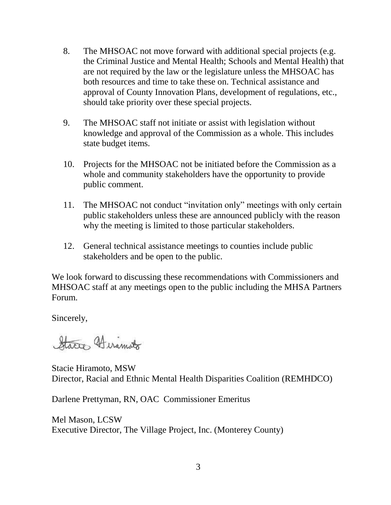- 8. The MHSOAC not move forward with additional special projects (e.g. the Criminal Justice and Mental Health; Schools and Mental Health) that are not required by the law or the legislature unless the MHSOAC has both resources and time to take these on. Technical assistance and approval of County Innovation Plans, development of regulations, etc., should take priority over these special projects.
- 9. The MHSOAC staff not initiate or assist with legislation without knowledge and approval of the Commission as a whole. This includes state budget items.
- 10. Projects for the MHSOAC not be initiated before the Commission as a whole and community stakeholders have the opportunity to provide public comment.
- 11. The MHSOAC not conduct "invitation only" meetings with only certain public stakeholders unless these are announced publicly with the reason why the meeting is limited to those particular stakeholders.
- 12. General technical assistance meetings to counties include public stakeholders and be open to the public.

We look forward to discussing these recommendations with Commissioners and MHSOAC staff at any meetings open to the public including the MHSA Partners Forum.

Sincerely,

States Hiramoto

Stacie Hiramoto, MSW Director, Racial and Ethnic Mental Health Disparities Coalition (REMHDCO)

Darlene Prettyman, RN, OAC Commissioner Emeritus

Mel Mason, LCSW Executive Director, The Village Project, Inc. (Monterey County)